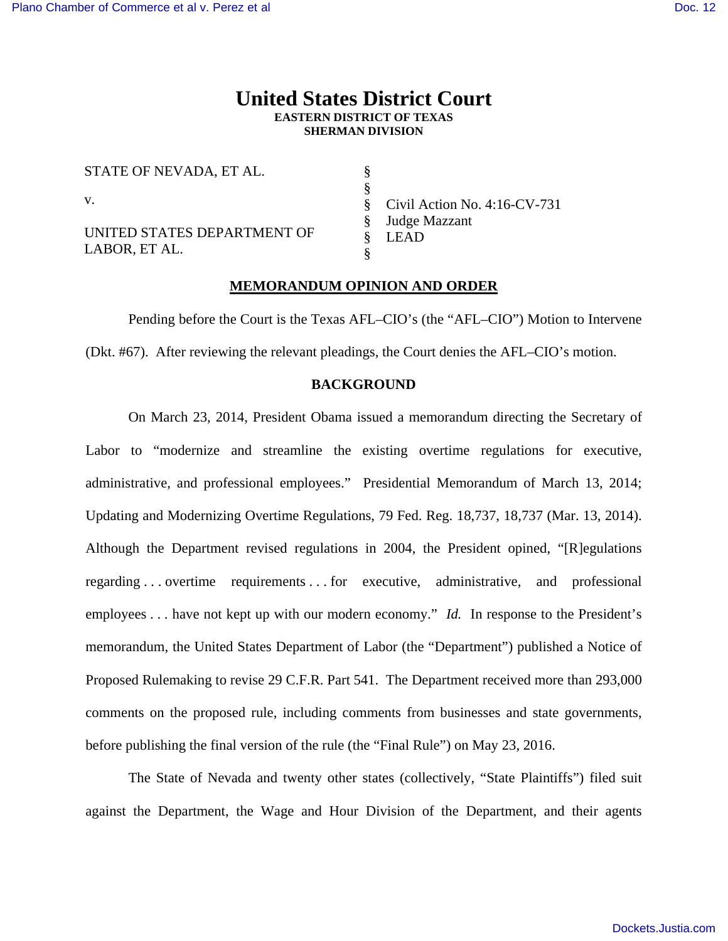## **United States District Court EASTERN DISTRICT OF TEXAS SHERMAN DIVISION**

§ § §

STATE OF NEVADA, ET AL. v.

UNITED STATES DEPARTMENT OF LABOR, ET AL.

§ § Civil Action No. 4:16-CV-731 Judge Mazzant LEAD

## **MEMORANDUM OPINION AND ORDER**

§

Pending before the Court is the Texas AFL–CIO's (the "AFL–CIO") Motion to Intervene (Dkt. #67). After reviewing the relevant pleadings, the Court denies the AFL–CIO's motion.

#### **BACKGROUND**

On March 23, 2014, President Obama issued a memorandum directing the Secretary of Labor to "modernize and streamline the existing overtime regulations for executive, administrative, and professional employees." Presidential Memorandum of March 13, 2014; Updating and Modernizing Overtime Regulations, 79 Fed. Reg. 18,737, 18,737 (Mar. 13, 2014). Although the Department revised regulations in 2004, the President opined, "[R]egulations regarding . . . overtime requirements . . . for executive, administrative, and professional employees . . . have not kept up with our modern economy." *Id.* In response to the President's memorandum, the United States Department of Labor (the "Department") published a Notice of Proposed Rulemaking to revise 29 C.F.R. Part 541. The Department received more than 293,000 comments on the proposed rule, including comments from businesses and state governments, before publishing the final version of the rule (the "Final Rule") on May 23, 2016.

The State of Nevada and twenty other states (collectively, "State Plaintiffs") filed suit against the Department, the Wage and Hour Division of the Department, and their agents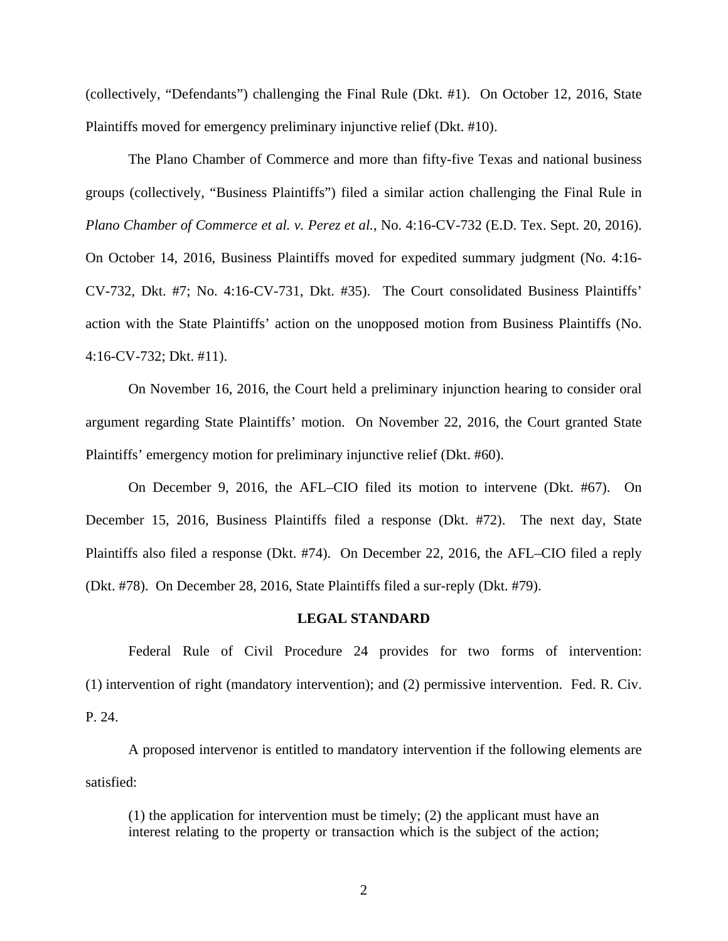(collectively, "Defendants") challenging the Final Rule (Dkt. #1). On October 12, 2016, State Plaintiffs moved for emergency preliminary injunctive relief (Dkt. #10).

The Plano Chamber of Commerce and more than fifty-five Texas and national business groups (collectively, "Business Plaintiffs") filed a similar action challenging the Final Rule in *Plano Chamber of Commerce et al. v. Perez et al.*, No. 4:16-CV-732 (E.D. Tex. Sept. 20, 2016). On October 14, 2016, Business Plaintiffs moved for expedited summary judgment (No. 4:16- CV-732, Dkt. #7; No. 4:16-CV-731, Dkt. #35). The Court consolidated Business Plaintiffs' action with the State Plaintiffs' action on the unopposed motion from Business Plaintiffs (No. 4:16-CV-732; Dkt. #11).

On November 16, 2016, the Court held a preliminary injunction hearing to consider oral argument regarding State Plaintiffs' motion. On November 22, 2016, the Court granted State Plaintiffs' emergency motion for preliminary injunctive relief (Dkt. #60).

On December 9, 2016, the AFL–CIO filed its motion to intervene (Dkt. #67). On December 15, 2016, Business Plaintiffs filed a response (Dkt. #72). The next day, State Plaintiffs also filed a response (Dkt. #74). On December 22, 2016, the AFL–CIO filed a reply (Dkt. #78). On December 28, 2016, State Plaintiffs filed a sur-reply (Dkt. #79).

### **LEGAL STANDARD**

Federal Rule of Civil Procedure 24 provides for two forms of intervention: (1) intervention of right (mandatory intervention); and (2) permissive intervention. Fed. R. Civ. P. 24.

A proposed intervenor is entitled to mandatory intervention if the following elements are satisfied:

(1) the application for intervention must be timely; (2) the applicant must have an interest relating to the property or transaction which is the subject of the action;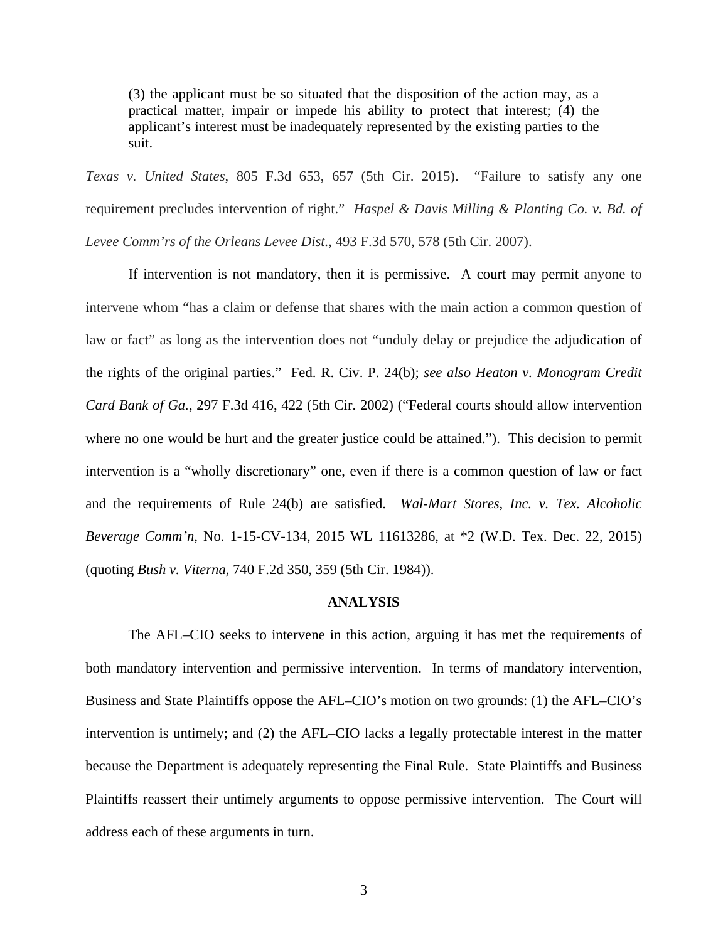(3) the applicant must be so situated that the disposition of the action may, as a practical matter, impair or impede his ability to protect that interest; (4) the applicant's interest must be inadequately represented by the existing parties to the suit.

*Texas v. United States*, 805 F.3d 653, 657 (5th Cir. 2015). "Failure to satisfy any one requirement precludes intervention of right." *Haspel & Davis Milling & Planting Co. v. Bd. of Levee Comm'rs of the Orleans Levee Dist.*, 493 F.3d 570, 578 (5th Cir. 2007).

If intervention is not mandatory, then it is permissive. A court may permit anyone to intervene whom "has a claim or defense that shares with the main action a common question of law or fact" as long as the intervention does not "unduly delay or prejudice the adjudication of the rights of the original parties." Fed. R. Civ. P. 24(b); *see also Heaton v. Monogram Credit Card Bank of Ga.*, 297 F.3d 416, 422 (5th Cir. 2002) ("Federal courts should allow intervention where no one would be hurt and the greater justice could be attained."). This decision to permit intervention is a "wholly discretionary" one, even if there is a common question of law or fact and the requirements of Rule 24(b) are satisfied. *Wal-Mart Stores, Inc. v. Tex. Alcoholic Beverage Comm'n*, No. 1-15-CV-134, 2015 WL 11613286, at \*2 (W.D. Tex. Dec. 22, 2015) (quoting *Bush v. Viterna*, 740 F.2d 350, 359 (5th Cir. 1984)).

#### **ANALYSIS**

The AFL–CIO seeks to intervene in this action, arguing it has met the requirements of both mandatory intervention and permissive intervention. In terms of mandatory intervention, Business and State Plaintiffs oppose the AFL–CIO's motion on two grounds: (1) the AFL–CIO's intervention is untimely; and (2) the AFL–CIO lacks a legally protectable interest in the matter because the Department is adequately representing the Final Rule. State Plaintiffs and Business Plaintiffs reassert their untimely arguments to oppose permissive intervention. The Court will address each of these arguments in turn.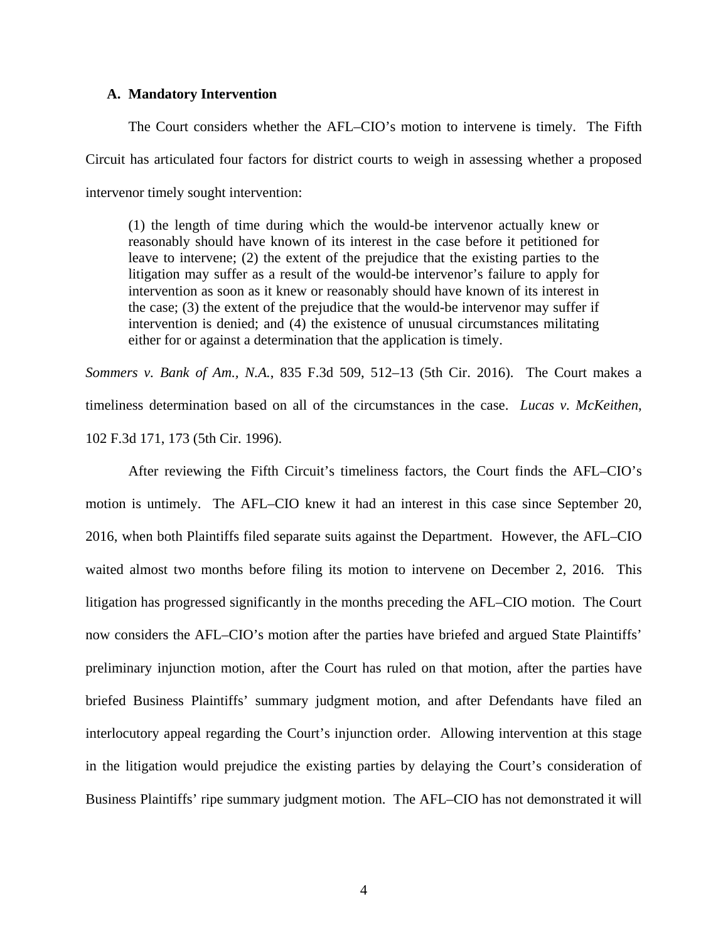## **A. Mandatory Intervention**

The Court considers whether the AFL–CIO's motion to intervene is timely. The Fifth Circuit has articulated four factors for district courts to weigh in assessing whether a proposed intervenor timely sought intervention:

(1) the length of time during which the would-be intervenor actually knew or reasonably should have known of its interest in the case before it petitioned for leave to intervene; (2) the extent of the prejudice that the existing parties to the litigation may suffer as a result of the would-be intervenor's failure to apply for intervention as soon as it knew or reasonably should have known of its interest in the case; (3) the extent of the prejudice that the would-be intervenor may suffer if intervention is denied; and (4) the existence of unusual circumstances militating either for or against a determination that the application is timely.

*Sommers v. Bank of Am., N.A.*, 835 F.3d 509, 512–13 (5th Cir. 2016). The Court makes a timeliness determination based on all of the circumstances in the case. *Lucas v. McKeithen*, 102 F.3d 171, 173 (5th Cir. 1996).

After reviewing the Fifth Circuit's timeliness factors, the Court finds the AFL–CIO's motion is untimely. The AFL–CIO knew it had an interest in this case since September 20, 2016, when both Plaintiffs filed separate suits against the Department. However, the AFL–CIO waited almost two months before filing its motion to intervene on December 2, 2016. This litigation has progressed significantly in the months preceding the AFL–CIO motion. The Court now considers the AFL–CIO's motion after the parties have briefed and argued State Plaintiffs' preliminary injunction motion, after the Court has ruled on that motion, after the parties have briefed Business Plaintiffs' summary judgment motion, and after Defendants have filed an interlocutory appeal regarding the Court's injunction order. Allowing intervention at this stage in the litigation would prejudice the existing parties by delaying the Court's consideration of Business Plaintiffs' ripe summary judgment motion. The AFL–CIO has not demonstrated it will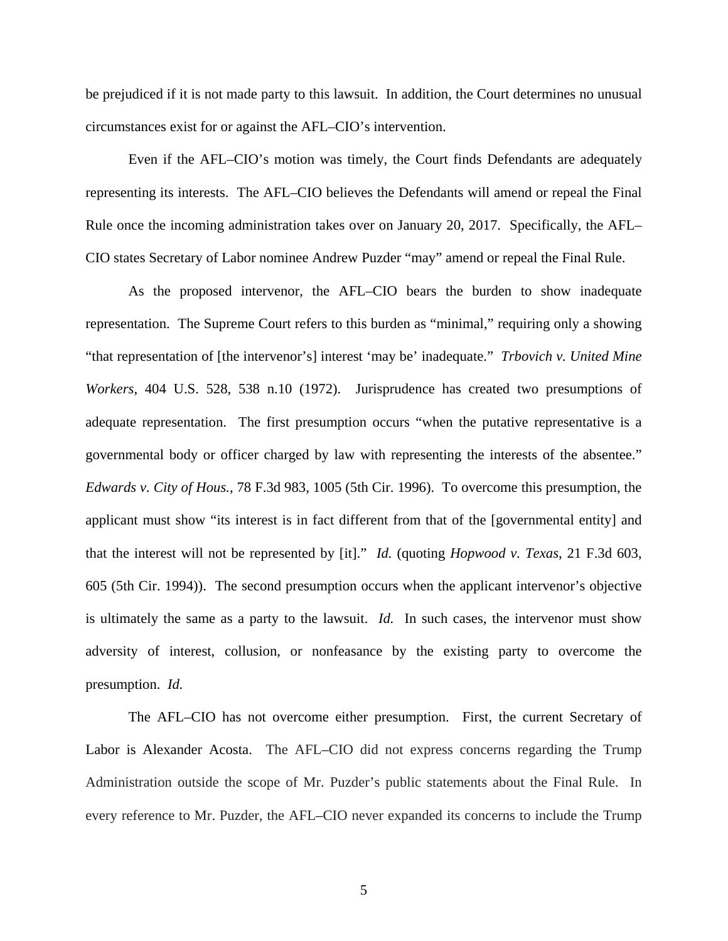be prejudiced if it is not made party to this lawsuit. In addition, the Court determines no unusual circumstances exist for or against the AFL–CIO's intervention.

Even if the AFL–CIO's motion was timely, the Court finds Defendants are adequately representing its interests. The AFL–CIO believes the Defendants will amend or repeal the Final Rule once the incoming administration takes over on January 20, 2017. Specifically, the AFL– CIO states Secretary of Labor nominee Andrew Puzder "may" amend or repeal the Final Rule.

As the proposed intervenor, the AFL–CIO bears the burden to show inadequate representation. The Supreme Court refers to this burden as "minimal," requiring only a showing "that representation of [the intervenor's] interest 'may be' inadequate." *Trbovich v. United Mine Workers*, 404 U.S. 528, 538 n.10 (1972). Jurisprudence has created two presumptions of adequate representation. The first presumption occurs "when the putative representative is a governmental body or officer charged by law with representing the interests of the absentee." *Edwards v. City of Hous.*, 78 F.3d 983, 1005 (5th Cir. 1996). To overcome this presumption, the applicant must show "its interest is in fact different from that of the [governmental entity] and that the interest will not be represented by [it]." *Id.* (quoting *Hopwood v. Texas*, 21 F.3d 603, 605 (5th Cir. 1994)). The second presumption occurs when the applicant intervenor's objective is ultimately the same as a party to the lawsuit. *Id.* In such cases, the intervenor must show adversity of interest, collusion, or nonfeasance by the existing party to overcome the presumption. *Id.*

The AFL–CIO has not overcome either presumption. First, the current Secretary of Labor is Alexander Acosta. The AFL–CIO did not express concerns regarding the Trump Administration outside the scope of Mr. Puzder's public statements about the Final Rule. In every reference to Mr. Puzder, the AFL–CIO never expanded its concerns to include the Trump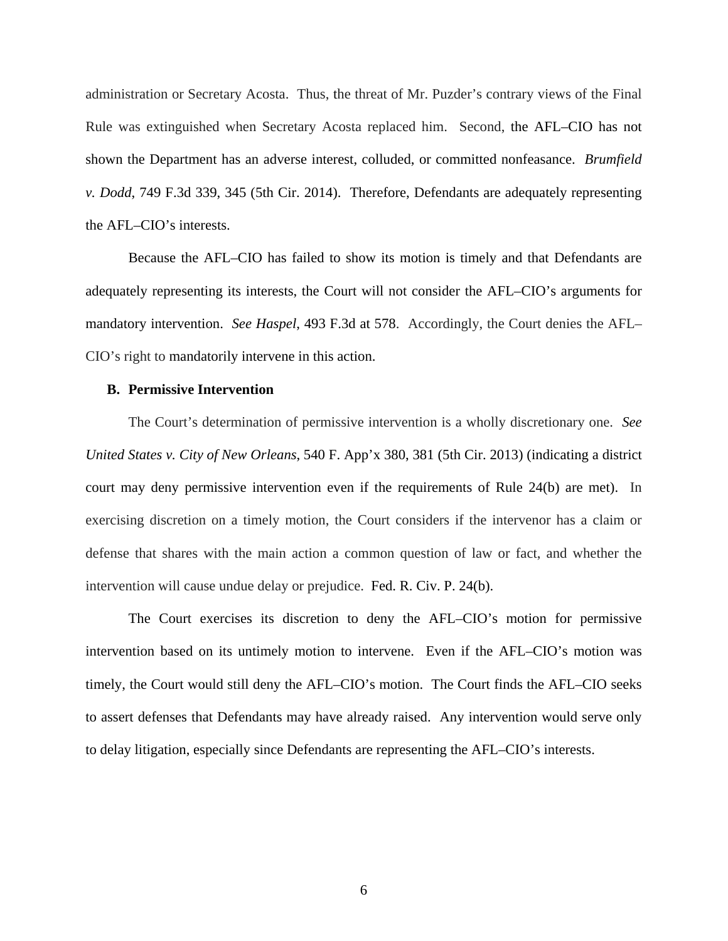administration or Secretary Acosta. Thus, the threat of Mr. Puzder's contrary views of the Final Rule was extinguished when Secretary Acosta replaced him. Second, the AFL–CIO has not shown the Department has an adverse interest, colluded, or committed nonfeasance. *Brumfield v. Dodd*, 749 F.3d 339, 345 (5th Cir. 2014). Therefore, Defendants are adequately representing the AFL–CIO's interests.

Because the AFL–CIO has failed to show its motion is timely and that Defendants are adequately representing its interests, the Court will not consider the AFL–CIO's arguments for mandatory intervention. *See Haspel*, 493 F.3d at 578. Accordingly, the Court denies the AFL– CIO's right to mandatorily intervene in this action.

## **B. Permissive Intervention**

The Court's determination of permissive intervention is a wholly discretionary one. *See United States v. City of New Orleans*, 540 F. App'x 380, 381 (5th Cir. 2013) (indicating a district court may deny permissive intervention even if the requirements of Rule 24(b) are met). In exercising discretion on a timely motion, the Court considers if the intervenor has a claim or defense that shares with the main action a common question of law or fact, and whether the intervention will cause undue delay or prejudice. Fed. R. Civ. P. 24(b).

The Court exercises its discretion to deny the AFL–CIO's motion for permissive intervention based on its untimely motion to intervene. Even if the AFL–CIO's motion was timely, the Court would still deny the AFL–CIO's motion. The Court finds the AFL–CIO seeks to assert defenses that Defendants may have already raised. Any intervention would serve only to delay litigation, especially since Defendants are representing the AFL–CIO's interests.